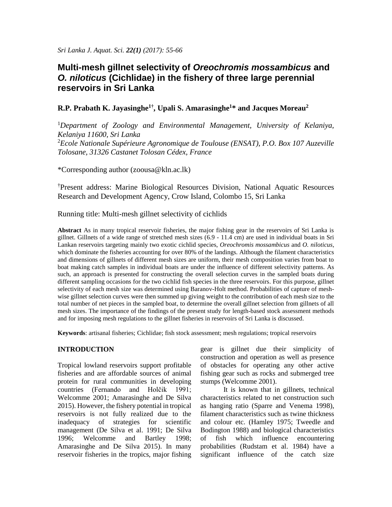# **Multi-mesh gillnet selectivity of** *Oreochromis mossambicus* **and**  *O. niloticus* **(Cichlidae) in the fishery of three large perennial reservoirs in Sri Lanka**

# **R.P. Prabath K. Jayasinghe1† , Upali S. Amarasinghe<sup>1</sup>\* and Jacques Moreau<sup>2</sup>**

<sup>1</sup>*Department of Zoology and Environmental Management, University of Kelaniya, Kelaniya 11600, Sri Lanka* <sup>2</sup>*Ecole Nationale Supérieure Agronomique de Toulouse (ENSAT), P.O. Box 107 Auzeville Tolosane, 31326 Castanet Tolosan Cédex, France*

\*Corresponding author [\(zoousa@kln.ac.lk\)](mailto:zoousa@kln.ac.lk)

†Present address: Marine Biological Resources Division, National Aquatic Resources Research and Development Agency, Crow Island, Colombo 15, Sri Lanka

Running title: Multi-mesh gillnet selectivity of cichlids

**Abstract** As in many tropical reservoir fisheries, the major fishing gear in the reservoirs of Sri Lanka is gillnet. Gillnets of a wide range of stretched mesh sizes (6.9 - 11.4 cm) are used in individual boats in Sri Lankan reservoirs targeting mainly two exotic cichlid species, *Oreochromis mossambicus* and *O. niloticus*, which dominate the fisheries accounting for over 80% of the landings. Although the filament characteristics and dimensions of gillnets of different mesh sizes are uniform, their mesh composition varies from boat to boat making catch samples in individual boats are under the influence of different selectivity patterns. As such, an approach is presented for constructing the overall selection curves in the sampled boats during different sampling occasions for the two cichlid fish species in the three reservoirs. For this purpose, gillnet selectivity of each mesh size was determined using Baranov-Holt method. Probabilities of capture of meshwise gillnet selection curves were then summed up giving weight to the contribution of each mesh size to the total number of net pieces in the sampled boat, to determine the overall gillnet selection from gillnets of all mesh sizes. The importance of the findings of the present study for length-based stock assessment methods and for imposing mesh regulations to the gillnet fisheries in reservoirs of Sri Lanka is discussed.

**Keywords**: artisanal fisheries; Cichlidae; fish stock assessment; mesh regulations; tropical reservoirs

# **INTRODUCTION**

Tropical lowland reservoirs support profitable fisheries and are affordable sources of animal protein for rural communities in developing countries (Fernando and Holčik 1991; Welcomme 2001; Amarasinghe and De Silva 2015). However, the fishery potential in tropical reservoirs is not fully realized due to the inadequacy of strategies for scientific management (De Silva et al. 1991; De Silva 1996; Welcomme and Bartley 1998; Amarasinghe and De Silva 2015). In many reservoir fisheries in the tropics, major fishing gear is gillnet due their simplicity of construction and operation as well as presence of obstacles for operating any other active fishing gear such as rocks and submerged tree stumps (Welcomme 2001).

It is known that in gillnets, technical characteristics related to net construction such as hanging ratio (Sparre and Venema 1998), filament characteristics such as twine thickness and colour etc. (Hamley 1975; Tweedle and Bodington 1988) and biological characteristics of fish which influence encountering probabilities (Rudstam et al. 1984) have a significant influence of the catch size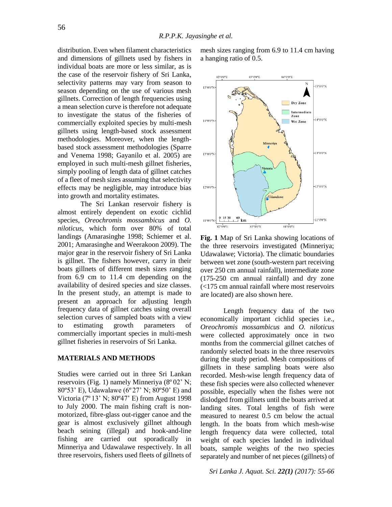distribution. Even when filament characteristics and dimensions of gillnets used by fishers in individual boats are more or less similar, as is the case of the reservoir fishery of Sri Lanka, selectivity patterns may vary from season to season depending on the use of various mesh gillnets. Correction of length frequencies using a mean selection curve is therefore not adequate to investigate the status of the fisheries of commercially exploited species by multi-mesh gillnets using length-based stock assessment methodologies. Moreover, when the lengthbased stock assessment methodologies (Sparre and Venema 1998; Gayanilo et al. 2005) are employed in such multi-mesh gillnet fisheries, simply pooling of length data of gillnet catches of a fleet of mesh sizes assuming that selectivity effects may be negligible, may introduce bias into growth and mortality estimates.

The Sri Lankan reservoir fishery is almost entirely dependent on exotic cichlid species, *Oreochromis mossambicus* and *O. niloticus*, which form over 80% of total landings (Amarasinghe 1998; Schiemer et al. 2001; Amarasinghe and Weerakoon 2009). The major gear in the reservoir fishery of Sri Lanka is gillnet. The fishers however, carry in their boats gillnets of different mesh sizes ranging from 6.9 cm to 11.4 cm depending on the availability of desired species and size classes. In the present study, an attempt is made to present an approach for adjusting length frequency data of gillnet catches using overall selection curves of sampled boats with a view to estimating growth parameters of commercially important species in multi-mesh gillnet fisheries in reservoirs of Sri Lanka.

## **MATERIALS AND METHODS**

Studies were carried out in three Sri Lankan reservoirs (Fig. 1) namely Minneriya (8º 02' N; 80º53' E), Udawalawe (6º 27' N; 80º50' E) and Victoria (7º 13' N; 80º47' E) from August 1998 to July 2000. The main fishing craft is nonmotorized, fibre-glass out-rigger canoe and the gear is almost exclusively gillnet although beach seining (illegal) and hook-and-line fishing are carried out sporadically in Minneriya and Udawalawe respectively. In all three reservoirs, fishers used fleets of gillnets of mesh sizes ranging from 6.9 to 11.4 cm having a hanging ratio of 0.5.



**Fig. 1** Map of Sri Lanka showing locations of the three reservoirs investigated (Minneriya; Udawalawe; Victoria). The climatic boundaries between wet zone (south-western part receiving over 250 cm annual rainfall), intermediate zone (175-250 cm annual rainfall) and dry zone (<175 cm annual rainfall where most reservoirs are located) are also shown here.

Length frequency data of the two economically important cichlid species i.e., *Oreochromis mossambicus* and *O. niloticus* were collected approximately once in two months from the commercial gillnet catches of randomly selected boats in the three reservoirs during the study period. Mesh compositions of gillnets in these sampling boats were also recorded. Mesh-wise length frequency data of these fish species were also collected whenever possible, especially when the fishes were not dislodged from gillnets until the boats arrived at landing sites. Total lengths of fish were measured to nearest 0.5 cm below the actual length. In the boats from which mesh-wise length frequency data were collected, total weight of each species landed in individual boats, sample weights of the two species separately and number of net pieces (gillnets) of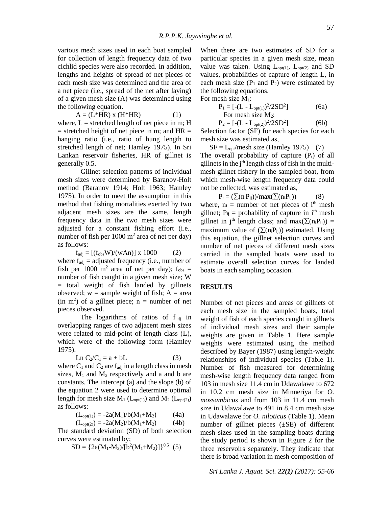various mesh sizes used in each boat sampled for collection of length frequency data of two cichlid species were also recorded. In addition, lengths and heights of spread of net pieces of each mesh size was determined and the area of a net piece (i.e., spread of the net after laying) of a given mesh size (A) was determined using the following equation.

$$
A = (L^*HR) x (H^*HR)
$$
 (1)

where,  $L =$  stretched length of net piece in m; H  $=$  stretched height of net piece in m; and HR  $=$ hanging ratio (i.e., ratio of hung length to stretched length of net; Hamley 1975). In Sri Lankan reservoir fisheries, HR of gillnet is generally 0.5.

Gillnet selection patterns of individual mesh sizes were determined by Baranov-Holt method (Baranov 1914; Holt 1963; Hamley 1975). In order to meet the assumption in this method that fishing mortalities exerted by two adjacent mesh sizes are the same, length frequency data in the two mesh sizes were adjusted for a constant fishing effort (i.e., number of fish per  $1000 \text{ m}^2$  area of net per day) as follows:

 $f_{\text{adj}} = [(f_{\text{obs}}W)/(wAn)] \times 1000$  (2)

where  $f_{\text{adj}}$  = adjusted frequency (i.e., number of fish per 1000 m<sup>2</sup> area of net per day);  $f_{obs}$  = number of fish caught in a given mesh size; W = total weight of fish landed by gillnets observed;  $w =$  sample weight of fish;  $A =$  area  $(in \, m^2)$  of a gillnet piece;  $n = number$  of net pieces observed.

The logarithms of ratios of  $f_{\text{adj}}$  in overlapping ranges of two adjacent mesh sizes were related to mid-point of length class (L), which were of the following form (Hamley 1975).

$$
Ln C_2/C_1 = a + bL
$$
 (3)

where  $C_1$  and  $C_2$  are f<sub>adj</sub> in a length class in mesh sizes,  $M_1$  and  $M_2$  respectively and a and b are constants. The intercept (a) and the slope (b) of the equation 2 were used to determine optimal length for mesh size  $M_1$  (L<sub>opt(1)</sub>) and  $M_2$  (L<sub>opt(2)</sub>) as follows:

$$
(L_{opt(1)}) = -2a(M_1)/b(M_1+M_2)
$$
 (4a)

$$
(L_{opt(2)}) = -2a(M_2)/b(M_1+M_2)
$$
 (4b)

The standard deviation (SD) of both selection curves were estimated by;

$$
SD = \{2a(M_1-M_2)/(b^2(M_1+M_2))\}^{0.5}
$$
 (5)

When there are two estimates of SD for a particular species in a given mesh size, mean value was taken. Using  $L_{opt(1)}$ ,  $L_{opt(2)}$  and SD values, probabilities of capture of length L, in each mesh size  $(P_1$  and  $P_2$ ) were estimated by the following equations.

For mesh size M<sub>1</sub>:

 $P<sub>2</sub>$ 

$$
P_1 = [-(L - L_{opt(1)})^2 / 2SD^2]
$$
 (6a)  
For mesh size M<sub>2</sub>:

$$
= [-(L - L_{opt(2)})^2 / 2SD^2]
$$
 (6b)

Selection factor (SF) for each species for each mesh size was estimated as,

 $SF = L<sub>opt</sub>/mesh size (Hamley 1975)$  (7) The overall probability of capture  $(P_t)$  of all gillnets in the j<sup>th</sup> length class of fish in the multimesh gillnet fishery in the sampled boat, from which mesh-wise length frequency data could not be collected, was estimated as,

$$
P_t = (\sum(n_i P_{ij})) / max(\sum(n_i P_{ij}))
$$
 (8)  
where, n<sub>i</sub> = number of net pieces of i<sup>th</sup> mesh  
gillnet; P<sub>ij</sub> = probability of capture in i<sup>th</sup> mesh  
gillnet in j<sup>th</sup> length class; and max( $\sum(n_i P_{ij})$ ) =  
maximum value of ( $\sum(n_i P_{ij})$ ) estimated. Using  
this equation, the gillnet selection curves and  
number of net pieces of different mesh sizes  
carried in the sampled boats were used to  
estimate overall selection curves for landed  
boats in each sampling occasion.

#### **RESULTS**

Number of net pieces and areas of gillnets of each mesh size in the sampled boats, total weight of fish of each species caught in gillnets of individual mesh sizes and their sample weights are given in Table 1. Here sample weights were estimated using the method described by Bayer (1987) using length-weight relationships of individual species (Table 1). Number of fish measured for determining mesh-wise length frequency data ranged from 103 in mesh size 11.4 cm in Udawalawe to 672 in 10.2 cm mesh size in Minneriya for *O. mossambicus* and from 103 in 11.4 cm mesh size in Udawalawe to 491 in 8.4 cm mesh size in Udawalawe for *O. niloticus* (Table 1). Mean number of gillnet pieces  $(\pm SE)$  of different mesh sizes used in the sampling boats during the study period is shown in Figure 2 for the three reservoirs separately. They indicate that there is broad variation in mesh composition of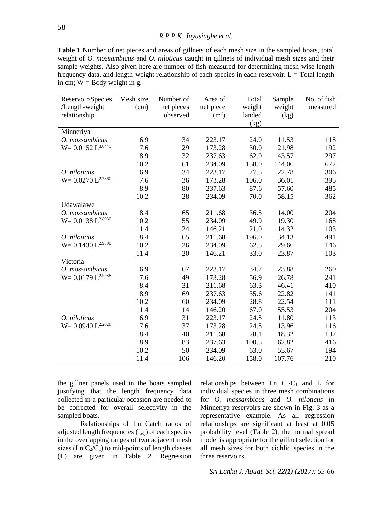**Table 1** Number of net pieces and areas of gillnets of each mesh size in the sampled boats, total weight of *O. mossambicus* and *O. niloticus* caught in gillnets of individual mesh sizes and their sample weights. Also given here are number of fish measured for determining mesh-wise length frequency data, and length-weight relationship of each species in each reservoir.  $L = \text{Total length}$ in cm;  $W =$  Body weight in g.

| Reservoir/Species       | Mesh size | Number of  | Area of           | Total  | Sample | No. of fish |
|-------------------------|-----------|------------|-------------------|--------|--------|-------------|
| /Length-weight          | (cm)      | net pieces | net piece         | weight | weight | measured    |
| relationship            |           | observed   | (m <sup>2</sup> ) | landed | (kg)   |             |
|                         |           |            |                   | (kg)   |        |             |
| Minneriya               |           |            |                   |        |        |             |
| O. mossambicus          | 6.9       | 34         | 223.17            | 24.0   | 11.53  | 118         |
| $W = 0.0152 L^{3.0445}$ | 7.6       | 29         | 173.28            | 30.0   | 21.98  | 192         |
|                         | 8.9       | 32         | 237.63            | 62.0   | 43.57  | 297         |
|                         | 10.2      | 61         | 234.09            | 158.0  | 144.06 | 672         |
| O. niloticus            | 6.9       | 34         | 223.17            | 77.5   | 22.78  | 306         |
| $W = 0.0270 L^{2.7860}$ | 7.6       | 36         | 173.28            | 106.0  | 36.01  | 395         |
|                         | 8.9       | 80         | 237.63            | 87.6   | 57.60  | 485         |
|                         | 10.2      | 28         | 234.09            | 70.0   | 58.15  | 362         |
| Udawalawe               |           |            |                   |        |        |             |
| O. mossambicus          | 8.4       | 65         | 211.68            | 36.5   | 14.00  | 204         |
| $W = 0.0138 L^{2.8930}$ | 10.2      | 55         | 234.09            | 49.9   | 19.30  | 168         |
|                         | 11.4      | 24         | 146.21            | 21.0   | 14.32  | 103         |
| O. niloticus            | 8.4       | 65         | 211.68            | 196.0  | 34.13  | 491         |
| $W = 0.1430 L^{2.9300}$ | 10.2      | 26         | 234.09            | 62.5   | 29.66  | 146         |
|                         | 11.4      | 20         | 146.21            | 33.0   | 23.87  | 103         |
| Victoria                |           |            |                   |        |        |             |
| O. mossambicus          | 6.9       | 67         | 223.17            | 34.7   | 23.88  | 260         |
| $W = 0.0179 L^{2.9988}$ | 7.6       | 49         | 173.28            | 56.9   | 26.78  | 241         |
|                         | 8.4       | 31         | 211.68            | 63.3   | 46.41  | 410         |
|                         | 8.9       | 69         | 237.63            | 35.6   | 22.82  | 141         |
|                         | 10.2      | 60         | 234.09            | 28.8   | 22.54  | 111         |
|                         | 11.4      | 14         | 146.20            | 67.0   | 55.53  | 204         |
| O. niloticus            | 6.9       | 31         | 223.17            | 24.5   | 11.80  | 113         |
| $W = 0.0940 L^{2.2026}$ | 7.6       | 37         | 173.28            | 24.5   | 13.96  | 116         |
|                         | 8.4       | 40         | 211.68            | 28.1   | 18.32  | 137         |
|                         | 8.9       | 83         | 237.63            | 100.5  | 62.82  | 416         |
|                         | 10.2      | 50         | 234.09            | 63.0   | 55.67  | 194         |
|                         | 11.4      | 106        | 146.20            | 158.0  | 107.76 | 210         |

the gillnet panels used in the boats sampled justifying that the length frequency data collected in a particular occasion are needed to be corrected for overall selectivity in the sampled boats.

Relationships of Ln Catch ratios of adjusted length frequencies  $(f_{\text{adj}})$  of each species in the overlapping ranges of two adjacent mesh sizes (Ln  $C_2/C_1$ ) to mid-points of length classes (L) are given in Table 2. Regression relationships between Ln  $C_2/C_1$  and L for individual species in three mesh combinations for *O. mossambicus* and *O. niloticus* in Minneriya reservoirs are shown in Fig. 3 as a representative example. As all regression relationships are significant at least at 0.05 probability level (Table 2), the normal spread model is appropriate for the gillnet selection for all mesh sizes for both cichlid species in the three reservoirs.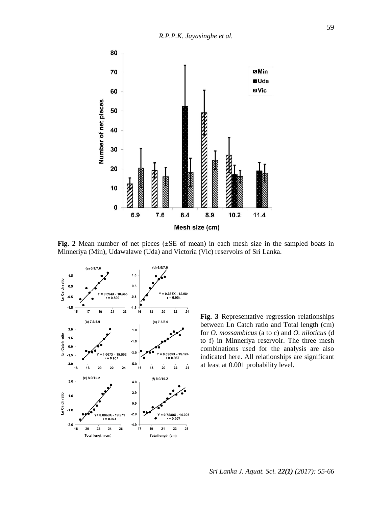

**Fig. 2** Mean number of net pieces (±SE of mean) in each mesh size in the sampled boats in Minneriya (Min), Udawalawe (Uda) and Victoria (Vic) reservoirs of Sri Lanka.



**Fig. 3** Representative regression relationships between Ln Catch ratio and Total length (cm) for *O. mossambicus* (a to c) and *O. niloticus* (d to f) in Minneriya reservoir. The three mesh combinations used for the analysis are also indicated here. All relationships are significant at least at 0.001 probability level.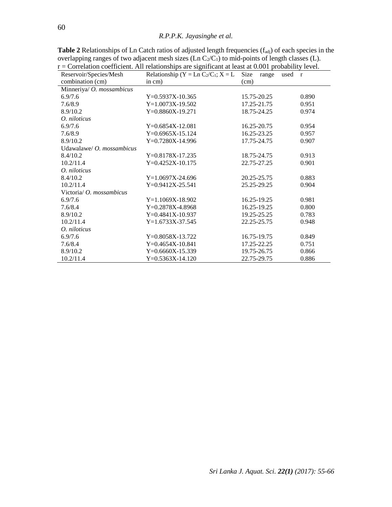# *R.P.P.K. Jayasinghe et al.*

| Reservoir/Species/Mesh          | Correlation coefficient. The relationships are significant at reast at 0.001 probability fevel.<br>Relationship (Y = Ln C <sub>2</sub> /C <sub>1</sub> ; X = L Size | range<br>used r |       |  |  |  |
|---------------------------------|---------------------------------------------------------------------------------------------------------------------------------------------------------------------|-----------------|-------|--|--|--|
| combination (cm)                | in $cm)$                                                                                                                                                            | (cm)            |       |  |  |  |
| Minneriya/ O. mossambicus       |                                                                                                                                                                     |                 |       |  |  |  |
| 6.9/7.6                         | $Y=0.5937X-10.365$                                                                                                                                                  | 15.75-20.25     | 0.890 |  |  |  |
| 7.6/8.9                         | $Y=1.0073X-19.502$                                                                                                                                                  | 17.25-21.75     | 0.951 |  |  |  |
| 8.9/10.2                        | $Y=0.8860X-19.271$                                                                                                                                                  | 18.75-24.25     | 0.974 |  |  |  |
| O. niloticus                    |                                                                                                                                                                     |                 |       |  |  |  |
| 6.9/7.6                         | $Y=0.6854X-12.081$                                                                                                                                                  | 16.25-20.75     | 0.954 |  |  |  |
| 7.6/8.9                         | $Y=0.6965X-15.124$                                                                                                                                                  | 16.25-23.25     | 0.957 |  |  |  |
| 8.9/10.2                        | $Y=0.7280X-14.996$                                                                                                                                                  | 17.75-24.75     | 0.907 |  |  |  |
| Udawalawe/ $O.$ mossambicus     |                                                                                                                                                                     |                 |       |  |  |  |
| 8.4/10.2                        | $Y=0.8178X-17.235$                                                                                                                                                  | 18.75-24.75     | 0.913 |  |  |  |
| 10.2/11.4                       | $Y=0.4252X-10.175$                                                                                                                                                  | 22.75-27.25     | 0.901 |  |  |  |
| O. niloticus                    |                                                                                                                                                                     |                 |       |  |  |  |
| 8.4/10.2                        | $Y=1.0697X-24.696$                                                                                                                                                  | 20.25-25.75     | 0.883 |  |  |  |
| 10.2/11.4                       | $Y=0.9412X-25.541$                                                                                                                                                  | 25.25-29.25     | 0.904 |  |  |  |
| Victoria/ <i>O. mossambicus</i> |                                                                                                                                                                     |                 |       |  |  |  |
| 6.9/7.6                         | $Y=1.1069X-18.902$                                                                                                                                                  | 16.25-19.25     | 0.981 |  |  |  |
| 7.6/8.4                         | $Y=0.2878X-4.8968$                                                                                                                                                  | 16.25-19.25     | 0.800 |  |  |  |
| 8.9/10.2                        | $Y=0.4841X-10.937$                                                                                                                                                  | 19.25-25.25     | 0.783 |  |  |  |
| 10.2/11.4                       | $Y=1.6733X-37.545$                                                                                                                                                  | 22.25-25.75     | 0.948 |  |  |  |
| O. niloticus                    |                                                                                                                                                                     |                 |       |  |  |  |
| 6.9/7.6                         | $Y=0.8058X-13.722$                                                                                                                                                  | 16.75-19.75     | 0.849 |  |  |  |
| 7.6/8.4                         | $Y=0.4654X-10.841$                                                                                                                                                  | 17.25-22.25     | 0.751 |  |  |  |
| 8.9/10.2                        | $Y=0.6660X-15.339$                                                                                                                                                  | 19.75-26.75     | 0.866 |  |  |  |
| 10.2/11.4                       | $Y=0.5363X-14.120$                                                                                                                                                  | 22.75-29.75     | 0.886 |  |  |  |

Table 2 Relationships of Ln Catch ratios of adjusted length frequencies ( $f_{adj}$ ) of each species in the overlapping ranges of two adjacent mesh sizes (Ln  $C_2/C_1$ ) to mid-points of length classes (L).  $r =$ Correlation coefficient. All relationships are significant at least at 0.001 probability level.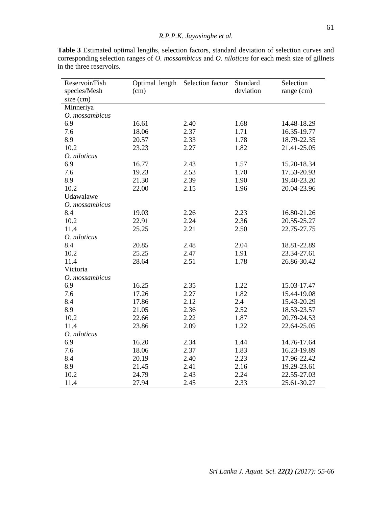| Reservoir/Fish | Optimal length | Selection factor | Standard  | Selection   |
|----------------|----------------|------------------|-----------|-------------|
| species/Mesh   | (cm)           |                  | deviation | range (cm)  |
| $size$ (cm)    |                |                  |           |             |
| Minneriya      |                |                  |           |             |
| O. mossambicus |                |                  |           |             |
| 6.9            | 16.61          | 2.40             | 1.68      | 14.48-18.29 |
| 7.6            | 18.06          | 2.37             | 1.71      | 16.35-19.77 |
| 8.9            | 20.57          | 2.33             | 1.78      | 18.79-22.35 |
| 10.2           | 23.23          | 2.27             | 1.82      | 21.41-25.05 |
| O. niloticus   |                |                  |           |             |
| 6.9            | 16.77          | 2.43             | 1.57      | 15.20-18.34 |
| 7.6            | 19.23          | 2.53             | 1.70      | 17.53-20.93 |
| 8.9            | 21.30          | 2.39             | 1.90      | 19.40-23.20 |
| 10.2           | 22.00          | 2.15             | 1.96      | 20.04-23.96 |
| Udawalawe      |                |                  |           |             |
| O. mossambicus |                |                  |           |             |
| 8.4            | 19.03          | 2.26             | 2.23      | 16.80-21.26 |
| 10.2           | 22.91          | 2.24             | 2.36      | 20.55-25.27 |
| 11.4           | 25.25          | 2.21             | 2.50      | 22.75-27.75 |
| O. niloticus   |                |                  |           |             |
| 8.4            | 20.85          | 2.48             | 2.04      | 18.81-22.89 |
| 10.2           | 25.25          | 2.47             | 1.91      | 23.34-27.61 |
| 11.4           | 28.64          | 2.51             | 1.78      | 26.86-30.42 |
| Victoria       |                |                  |           |             |
| O. mossambicus |                |                  |           |             |
| 6.9            | 16.25          | 2.35             | 1.22      | 15.03-17.47 |
| 7.6            | 17.26          | 2.27             | 1.82      | 15.44-19.08 |
| 8.4            | 17.86          | 2.12             | 2.4       | 15.43-20.29 |
| 8.9            | 21.05          | 2.36             | 2.52      | 18.53-23.57 |
| 10.2           | 22.66          | 2.22             | 1.87      | 20.79-24.53 |
| 11.4           | 23.86          | 2.09             | 1.22      | 22.64-25.05 |
| O. niloticus   |                |                  |           |             |
| 6.9            | 16.20          | 2.34             | 1.44      | 14.76-17.64 |
| 7.6            | 18.06          | 2.37             | 1.83      | 16.23-19.89 |
| 8.4            | 20.19          | 2.40             | 2.23      | 17.96-22.42 |
| 8.9            | 21.45          | 2.41             | 2.16      | 19.29-23.61 |
| 10.2           | 24.79          | 2.43             | 2.24      | 22.55-27.03 |
| 11.4           | 27.94          | 2.45             | 2.33      | 25.61-30.27 |

**Table 3** Estimated optimal lengths, selection factors, standard deviation of selection curves and corresponding selection ranges of *O. mossambicus* and *O. niloticus* for each mesh size of gillnets in the three reservoirs.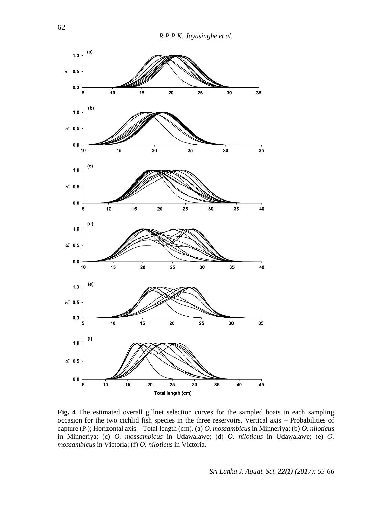

**Fig. 4** The estimated overall gillnet selection curves for the sampled boats in each sampling occasion for the two cichlid fish species in the three reservoirs. Vertical axis – Probabilities of capture (Pi); Horizontal axis – Total length (cm). (a) *O. mossambicus* in Minneriya; (b) *O. niloticus* in Minneriya; (c) *O. mossambicus* in Udawalawe; (d) *O. niloticus* in Udawalawe; (e) *O. mossambicus* in Victoria; (f) *O. niloticus* in Victoria.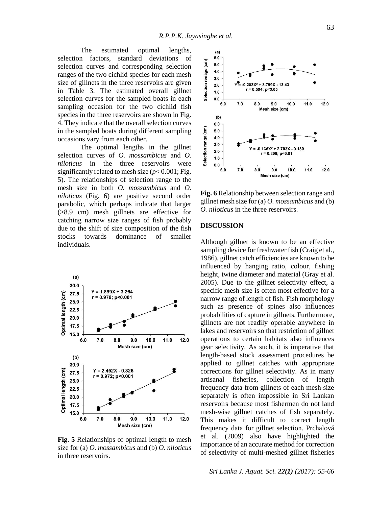The estimated optimal lengths, selection factors, standard deviations of selection curves and corresponding selection ranges of the two cichlid species for each mesh size of gillnets in the three reservoirs are given in Table 3. The estimated overall gillnet selection curves for the sampled boats in each sampling occasion for the two cichlid fish species in the three reservoirs are shown in Fig. 4. They indicate that the overall selection curves in the sampled boats during different sampling occasions vary from each other.

The optimal lengths in the gillnet selection curves of *O. mossambicus* and *O. niloticus* in the three reservoirs were significantly related to mesh size (*p*< 0.001; Fig. 5). The relationships of selection range to the mesh size in both *O. mossambicus* and *O. niloticus* (Fig. 6) are positive second order parabolic, which perhaps indicate that larger (>8.9 cm) mesh gillnets are effective for catching narrow size ranges of fish probably due to the shift of size composition of the fish stocks towards dominance of smaller individuals.



**Fig. 5** Relationships of optimal length to mesh size for (a) *O. mossambicus* and (b) *O. niloticus* in three reservoirs.



**Fig. 6** Relationship between selection range and gillnet mesh size for (a) *O. mossambicus* and (b) *O. niloticus* in the three reservoirs.

### **DISCUSSION**

Although gillnet is known to be an effective sampling device for freshwater fish (Craig et al., 1986), gillnet catch efficiencies are known to be influenced by hanging ratio, colour, fishing height, twine diameter and material (Gray et al. 2005). Due to the gillnet selectivity effect, a specific mesh size is often most effective for a narrow range of length of fish. Fish morphology such as presence of spines also influences probabilities of capture in gillnets. Furthermore, gillnets are not readily operable anywhere in lakes and reservoirs so that restriction of gillnet operations to certain habitats also influences gear selectivity. As such, it is imperative that length-based stock assessment procedures be applied to gillnet catches with appropriate corrections for gillnet selectivity. As in many artisanal fisheries, collection of length frequency data from gillnets of each mesh size separately is often impossible in Sri Lankan reservoirs because most fishermen do not land mesh-wise gillnet catches of fish separately. This makes it difficult to correct length frequency data for gillnet selection. Prchalová et al. (2009) also have highlighted the importance of an accurate method for correction of selectivity of multi-meshed gillnet fisheries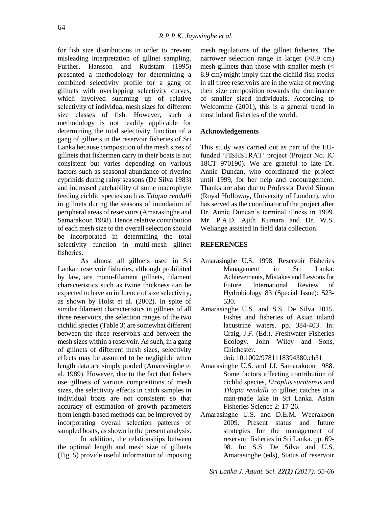for fish size distributions in order to prevent misleading interpretation of gillnet sampling. Further, Hansson and Rudstam (1995) presented a methodology for determining a combined selectivity profile for a gang of gillnets with overlapping selectivity curves, which involved summing up of relative selectivity of individual mesh sizes for different size classes of fish. However, such a methodology is not readily applicable for determining the total selectivity function of a gang of gillnets in the reservoir fisheries of Sri Lanka because composition of the mesh sizes of gillnets that fishermen carry in their boats is not consistent but varies depending on various factors such as seasonal abundance of riverine cyprinids during rainy seasons (De Silva 1983) and increased catchability of some macrophyte feeding cichlid species such as *Tilapia rendalli* in gillnets during the seasons of inundation of peripheral areas of reservoirs (Amarasinghe and Samarakoon 1988). Hence relative contribution of each mesh size to the overall selection should be incorporated in determining the total selectivity function in multi-mesh gillnet fisheries.

As almost all gillnets used in Sri Lankan reservoir fisheries, although prohibited by law, are mono-filament gillnets, filament characteristics such as twine thickness can be expected to have an influence of size selectivity, as shown by Holst et al. (2002). In spite of similar filament characteristics in gillnets of all three reservoirs, the selection ranges of the two cichlid species (Table 3) are somewhat different between the three reservoirs and between the mesh sizes within a reservoir. As such, in a gang of gillnets of different mesh sizes, selectivity effects may be assumed to be negligible when length data are simply pooled (Amarasinghe et al. 1989). However, due to the fact that fishers use gillnets of various compositions of mesh sizes, the selectivity effects in catch samples in individual boats are not consistent so that accuracy of estimation of growth parameters from length-based methods can be improved by incorporating overall selection patterns of sampled boats, as shown in the present analysis.

In addition, the relationships between the optimal length and mesh size of gillnets (Fig. 5) provide useful information of imposing

mesh regulations of the gillnet fisheries. The narrower selection range in larger (>8.9 cm) mesh gillnets than those with smaller mesh (< 8.9 cm) might imply that the cichlid fish stocks in all three reservoirs are in the wake of moving their size composition towards the dominance of smaller sized individuals. According to Welcomme (2001), this is a general trend in most inland fisheries of the world.

### **Acknowledgements**

This study was carried out as part of the EUfunded 'FISHSTRAT' project (Project No. IC 18CT 970190). We are grateful to late Dr. Annie Duncan, who coordinated the project until 1999, for her help and encouragement. Thanks are also due to Professor David Simon (Royal Holloway, University of London), who has served as the coordinator of the project after Dr. Annie Duncan's terminal illness in 1999. Mr. P.A.D. Ajith Kumara and Dr. W.S. Weliange assisted in field data collection.

#### **REFERENCES**

- Amarasinghe U.S. 1998. Reservoir Fisheries Management in Sri Lanka: Achievements, Mistakes and Lessons for Future. International Review of Hydrobiology 83 (Special Issue): 523- 530.
- Amarasinghe U.S. and S.S. De Silva 2015. Fishes and fisheries of Asian inland lacustrine waters. pp. 384-403. In: Craig, J.F. (Ed.), Freshwater Fisheries Ecology. John Wiley and Sons, Chichester.

doi: 10.1002/9781118394380.ch31

- Amarasinghe U.S. and J.I. Samarakoon 1988. Some factors affecting contribution of cichlid species, *Etroplus suratensis* and *Tilapia rendalli* to gillnet catches in a man-made lake in Sri Lanka. Asian Fisheries Science 2: 17-26.
- Amarasinghe U.S. and D.E.M. Weerakoon 2009. Present status and future strategies for the management of reservoir fisheries in Sri Lanka. pp. 69- 98. In: S.S. De Silva and U.S. Amarasinghe (eds), Status of reservoir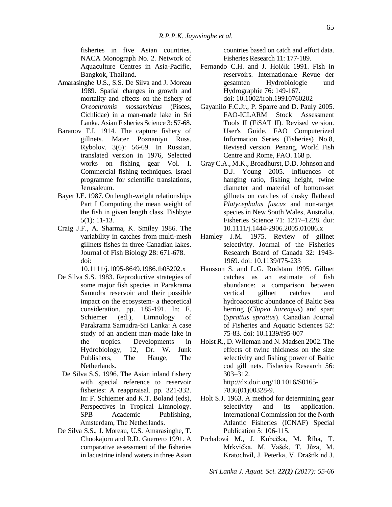fisheries in five Asian countries. NACA Monograph No. 2. Network of Aquaculture Centres in Asia-Pacific, Bangkok, Thailand.

- Amarasinghe U.S., S.S. De Silva and J. Moreau 1989. Spatial changes in growth and mortality and effects on the fishery of *Oreochromis mossambicus* (Pisces, Cichlidae) in a man-made lake in Sri Lanka. Asian Fisheries Science 3: 57-68.
- Baranov F.I. 1914. The capture fishery of gillnets. Mater Poznaniyu Russ. Rybolov. 3(6): 56-69. In Russian, translated version in 1976, Selected works on fishing gear Vol. I. Commercial fishing techniques. Israel programme for scientific translations, Jerusaleum.
- BayerJ.E. 1987. On length-weight relationships Part I Computing the mean weight of the fish in given length class. Fishbyte 5(1): 11-13.
- Craig J.F., A. Sharma, K. Smiley 1986. The variability in catches from multi-mesh gillnets fishes in three Canadian lakes. Journal of Fish Biology 28: 671-678. doi:

10.1111/j.1095-8649.1986.tb05202.x

- De Silva S.S. 1983. Reproductive strategies of some major fish species in Parakrama Samudra reservoir and their possible impact on the ecosystem- a theoretical consideration. pp. 185-191. In: F. Schiemer (ed.), Limnology of Parakrama Samudra-Sri Lanka: A case study of an ancient man-made lake in the tropics. Developments in Hydrobiology, 12, Dr. W. Junk Publishers, The Hauge, The Netherlands.
- De Silva S.S. 1996. The Asian inland fishery with special reference to reservoir fisheries: A reappraisal. pp. 321-332. In: F. Schiemer and K.T. Boland (eds), Perspectives in Tropical Limnology. SPB Academic Publishing, Amsterdam, The Netherlands.
- De Silva S.S., J. Moreau, U.S. Amarasinghe, T. Chookajorn and R.D. Guerrero 1991. A comparative assessment of the fisheries in lacustrine inland waters in three Asian

countries based on catch and effort data. Fisheries Research 11: 177-189.

- Fernando C.H. and J. Holčik 1991. Fish in reservoirs. Internationale Revue der gesamten Hydrobiologie und Hydrographie 76: 149-167. doi: 10.1002/iroh.19910760202
- Gayanilo F.C.Jr., P. Sparre and D. Pauly 2005. FAO-ICLARM Stock Assessment Tools II (FiSAT II). Revised version. User's Guide. FAO Computerized Information Series (Fisheries) No.8, Revised version. Penang, World Fish Centre and Rome, FAO. 168 p.
- Gray C.A., M.K., Broadhurst, D.D. Johnson and D.J. Young 2005. Influences of hanging ratio, fishing height, twine diameter and material of bottom-set gillnets on catches of dusky flathead *Platycephalus fuscus* and non-target species in New South Wales, Australia. Fisheries Science 71: 1217–1228. doi: 10.1111/j.1444-2906.2005.01086.x
- Hamley J.M. 1975. Review of gillnet selectivity. Journal of the Fisheries Research Board of Canada 32: 1943- 1969. doi: 10.1139/f75-233
- Hansson S. and L.G. Rudstam 1995. Gillnet catches as an estimate of fish abundance: a comparison between vertical gillnet catches and hydroacoustic abundance of Baltic Sea herring (*Clupea harengus*) and spart (*Sprattus sprattus*). Canadian Journal of Fisheries and Aquatic Sciences 52: 75-83. doi: 10.1139/f95-007
- Holst R., D. Wileman and N. Madsen 2002. The effects of twine thickness on the size selectivity and fishing power of Baltic cod gill nets. Fisheries Research 56: 303–312. http://dx.doi:.org/10.1016/S0165- 7836(01)00328-9.
- Holt S.J. 1963. A method for determining gear selectivity and its application. International Commission for the North Atlantic Fisheries (ICNAF) Special Publication 5: 106-115.
- Prchalová M., J. Kubečka, M. Říha, T. Mrkvička, M. Vašek, T. Jůza, M. Kratochvíl, J. Peterka, V. Draštík nd J.